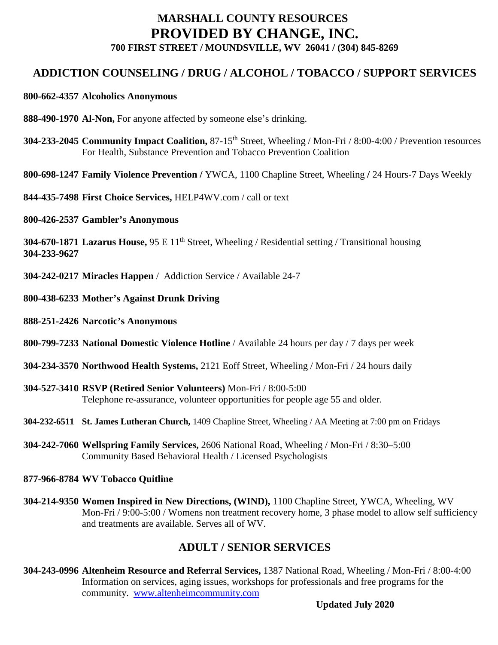## **MARSHALL COUNTY RESOURCES PROVIDED BY CHANGE, INC. 700 FIRST STREET / MOUNDSVILLE, WV 26041 / (304) 845-8269**

## **ADDICTION COUNSELING / DRUG / ALCOHOL / TOBACCO / SUPPORT SERVICES**

#### **800-662-4357 Alcoholics Anonymous**

- **888-490-1970 Al-Non,** For anyone affected by someone else's drinking.
- **304-233-2045** Community Impact Coalition, 87-15<sup>th</sup> Street, Wheeling / Mon-Fri / 8:00-4:00 / Prevention resources For Health, Substance Prevention and Tobacco Prevention Coalition
- **800-698-1247 Family Violence Prevention /** YWCA, 1100 Chapline Street, Wheeling **/** 24 Hours-7 Days Weekly
- **844-435-7498 First Choice Services,** HELP4WV.com / call or text
- **800-426-2537 Gambler's Anonymous**

**304-670-1871 Lazarus House,** 95 E 11<sup>th</sup> Street, Wheeling / Residential setting / Transitional housing **304-233-9627**

- **304-242-0217 Miracles Happen** / Addiction Service / Available 24-7
- **800-438-6233 Mother's Against Drunk Driving**
- **888-251-2426 Narcotic's Anonymous**
- **800-799-7233 National Domestic Violence Hotline** / Available 24 hours per day / 7 days per week
- **304-234-3570 Northwood Health Systems,** 2121 Eoff Street, Wheeling / Mon-Fri / 24 hours daily
- **304-527-3410 RSVP (Retired Senior Volunteers)** Mon-Fri / 8:00-5:00 Telephone re-assurance, volunteer opportunities for people age 55 and older.
- **304-232-6511 St. James Lutheran Church,** 1409 Chapline Street, Wheeling / AA Meeting at 7:00 pm on Fridays
- **304-242-7060 Wellspring Family Services,** 2606 National Road, Wheeling / Mon-Fri / 8:30–5:00 Community Based Behavioral Health / Licensed Psychologists

#### **877-966-8784 WV Tobacco Quitline**

**304-214-9350 Women Inspired in New Directions, (WIND),** 1100 Chapline Street, YWCA, Wheeling, WV Mon-Fri / 9:00-5:00 / Womens non treatment recovery home, 3 phase model to allow self sufficiency and treatments are available. Serves all of WV.

## **ADULT / SENIOR SERVICES**

**304-243-0996 Altenheim Resource and Referral Services,** 1387 National Road, Wheeling / Mon-Fri / 8:00-4:00 Information on services, aging issues, workshops for professionals and free programs for the community. [www.altenheimcommunity.com](http://www.altenheimcommunity.com/)

**Updated July 2020**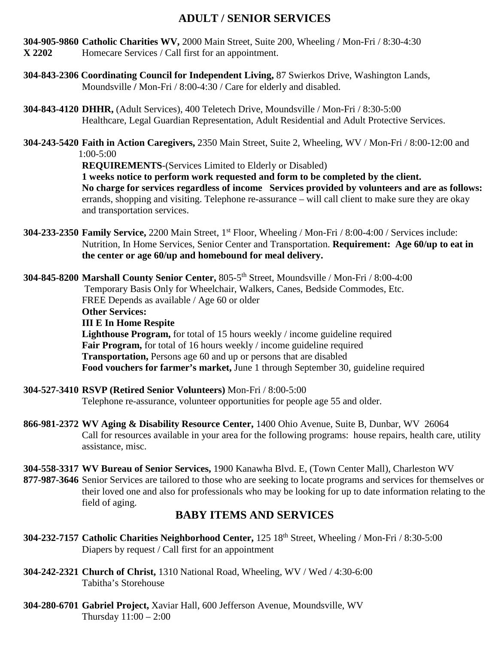## **ADULT / SENIOR SERVICES**

- **304-905-9860 Catholic Charities WV,** 2000 Main Street, Suite 200, Wheeling / Mon-Fri / 8:30-4:30 **X 2202** Homecare Services / Call first for an appointment.
- **304-843-2306 Coordinating Council for Independent Living,** 87 Swierkos Drive, Washington Lands, Moundsville **/** Mon-Fri / 8:00-4:30 / Care for elderly and disabled.
- **304-843-4120 DHHR,** (Adult Services), 400 Teletech Drive, Moundsville / Mon-Fri / 8:30-5:00 Healthcare, Legal Guardian Representation, Adult Residential and Adult Protective Services.
- **304-243-5420 Faith in Action Caregivers,** 2350 Main Street, Suite 2, Wheeling, WV / Mon-Fri / 8:00-12:00 and 1:00-5:00

**REQUIREMENTS**-(Services Limited to Elderly or Disabled)

**1 weeks notice to perform work requested and form to be completed by the client. No charge for services regardless of income Services provided by volunteers and are as follows:** errands, shopping and visiting. Telephone re-assurance – will call client to make sure they are okay and transportation services.

**304-233-2350 Family Service,** 2200 Main Street, 1<sup>st</sup> Floor, Wheeling / Mon-Fri / 8:00-4:00 / Services include: Nutrition, In Home Services, Senior Center and Transportation. **Requirement: Age 60/up to eat in the center or age 60/up and homebound for meal delivery.**

**304-845-8200 Marshall County Senior Center,** 805-5th Street, Moundsville / Mon-Fri / 8:00-4:00 Temporary Basis Only for Wheelchair, Walkers, Canes, Bedside Commodes, Etc. FREE Depends as available / Age 60 or older **Other Services: III E In Home Respite Lighthouse Program,** for total of 15 hours weekly / income guideline required **Fair Program,** for total of 16 hours weekly / income guideline required **Transportation,** Persons age 60 and up or persons that are disabled **Food vouchers for farmer's market,** June 1 through September 30, guideline required

- **304-527-3410 RSVP (Retired Senior Volunteers)** Mon-Fri / 8:00-5:00 Telephone re-assurance, volunteer opportunities for people age 55 and older.
- **866-981-2372 WV Aging & Disability Resource Center,** 1400 Ohio Avenue, Suite B, Dunbar, WV 26064 Call for resources available in your area for the following programs: house repairs, health care, utility assistance, misc.
- **304-558-3317 WV Bureau of Senior Services,** 1900 Kanawha Blvd. E, (Town Center Mall), Charleston WV **877-987-3646** Senior Services are tailored to those who are seeking to locate programs and services for themselves or their loved one and also for professionals who may be looking for up to date information relating to the field of aging.

## **BABY ITEMS AND SERVICES**

- **304-232-7157 Catholic Charities Neighborhood Center,** 125 18th Street, Wheeling / Mon-Fri / 8:30-5:00 Diapers by request / Call first for an appointment
- **304-242-2321 Church of Christ,** 1310 National Road, Wheeling, WV / Wed / 4:30-6:00 Tabitha's Storehouse
- **304-280-6701 Gabriel Project,** Xaviar Hall, 600 Jefferson Avenue, Moundsville, WV Thursday 11:00 – 2:00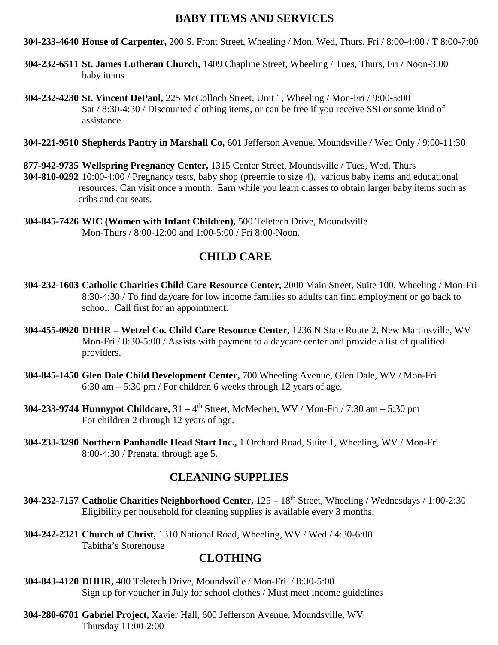#### **BABY ITEMS AND SERVICES**

**304-233-4640 House of Carpenter,** 200 S. Front Street, Wheeling / Mon, Wed, Thurs, Fri / 8:00-4:00 / T 8:00-7:00

- **304-232-6511 St. James Lutheran Church,** 1409 Chapline Street, Wheeling / Tues, Thurs, Fri / Noon-3:00 baby items
- **304-232-4230 St. Vincent DePaul,** 225 McColloch Street, Unit 1, Wheeling / Mon-Fri / 9:00-5:00 Sat / 8:30-4:30 / Discounted clothing items, or can be free if you receive SSI or some kind of assistance.

**304-221-9510 Shepherds Pantry in Marshall Co,** 601 Jefferson Avenue, Moundsville / Wed Only / 9:00-11:30

**877-942-9735 Wellspring Pregnancy Center,** 1315 Center Street, Moundsville / Tues, Wed, Thurs **304-810-0292** 10:00-4:00 / Pregnancy tests, baby shop (preemie to size 4), various baby items and educational resources. Can visit once a month. Earn while you learn classes to obtain larger baby items such as cribs and car seats.

**304-845-7426 WIC (Women with Infant Children),** 500 Teletech Drive, Moundsville Mon-Thurs / 8:00-12:00 and 1:00-5:00 / Fri 8:00-Noon.

## **CHILD CARE**

- **304-232-1603 Catholic Charities Child Care Resource Center,** 2000 Main Street, Suite 100, Wheeling / Mon-Fri 8:30-4:30 / To find daycare for low income families so adults can find employment or go back to school. Call first for an appointment.
- **304-455-0920 DHHR – Wetzel Co. Child Care Resource Center,** 1236 N State Route 2, New Martinsville, WV Mon-Fri / 8:30-5:00 / Assists with payment to a daycare center and provide a list of qualified providers.
- **304-845-1450 Glen Dale Child Development Center,** 700 Wheeling Avenue, Glen Dale, WV / Mon-Fri 6:30 am – 5:30 pm / For children 6 weeks through 12 years of age.
- **304-233-9744 Hunnypot Childcare,** 31 4th Street, McMechen, WV / Mon-Fri / 7:30 am 5:30 pm For children 2 through 12 years of age.
- **304-233-3290 Northern Panhandle Head Start Inc.,** 1 Orchard Road, Suite 1, Wheeling, WV / Mon-Fri 8:00-4:30 / Prenatal through age 5.

## **CLEANING SUPPLIES**

- **304-232-7157 Catholic Charities Neighborhood Center,** 125 18th Street, Wheeling / Wednesdays / 1:00-2:30 Eligibility per household for cleaning supplies is available every 3 months.
- **304-242-2321 Church of Christ,** 1310 National Road, Wheeling, WV / Wed / 4:30-6:00 Tabitha's Storehouse

## **CLOTHING**

- **304-843-4120 DHHR,** 400 Teletech Drive, Moundsville / Mon-Fri / 8:30-5:00 Sign up for voucher in July for school clothes / Must meet income guidelines
- **304-280-6701 Gabriel Project,** Xavier Hall, 600 Jefferson Avenue, Moundsville, WV Thursday 11:00-2:00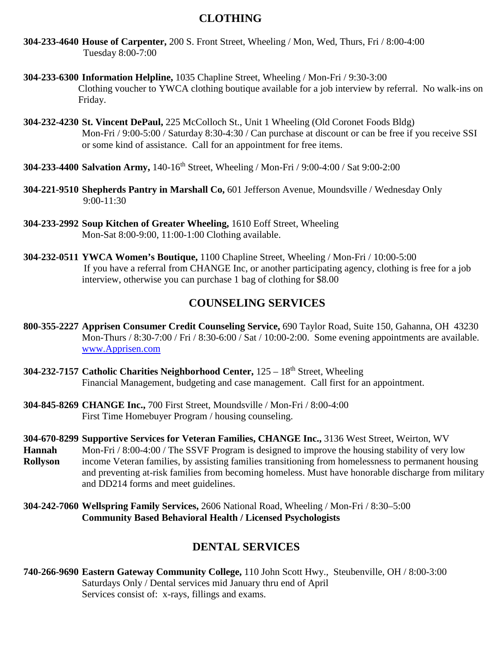## **CLOTHING**

- **304-233-4640 House of Carpenter,** 200 S. Front Street, Wheeling / Mon, Wed, Thurs, Fri / 8:00-4:00 Tuesday 8:00-7:00
- **304-233-6300 Information Helpline,** 1035 Chapline Street, Wheeling / Mon-Fri / 9:30-3:00 Clothing voucher to YWCA clothing boutique available for a job interview by referral. No walk-ins on Friday.
- **304-232-4230 St. Vincent DePaul,** 225 McColloch St., Unit 1 Wheeling (Old Coronet Foods Bldg) Mon-Fri / 9:00-5:00 / Saturday 8:30-4:30 / Can purchase at discount or can be free if you receive SSI or some kind of assistance. Call for an appointment for free items.
- **304-233-4400 Salvation Army,** 140-16th Street, Wheeling / Mon-Fri / 9:00-4:00 / Sat 9:00-2:00
- **304-221-9510 Shepherds Pantry in Marshall Co,** 601 Jefferson Avenue, Moundsville / Wednesday Only 9:00-11:30
- **304-233-2992 Soup Kitchen of Greater Wheeling,** 1610 Eoff Street, Wheeling Mon-Sat 8:00-9:00, 11:00-1:00 Clothing available.
- **304-232-0511 YWCA Women's Boutique,** 1100 Chapline Street, Wheeling / Mon-Fri / 10:00-5:00 If you have a referral from CHANGE Inc, or another participating agency, clothing is free for a job interview, otherwise you can purchase 1 bag of clothing for \$8.00

### **COUNSELING SERVICES**

- **800-355-2227 Apprisen Consumer Credit Counseling Service,** 690 Taylor Road, Suite 150, Gahanna, OH 43230 Mon-Thurs / 8:30-7:00 / Fri / 8:30-6:00 / Sat / 10:00-2:00. Some evening appointments are available. [www.Apprisen.com](http://www.apprisen.com/)
- **304-232-7157 Catholic Charities Neighborhood Center,** 125 18th Street, Wheeling Financial Management, budgeting and case management. Call first for an appointment.
- **304-845-8269 CHANGE Inc.,** 700 First Street, Moundsville / Mon-Fri / 8:00-4:00 First Time Homebuyer Program / housing counseling.
- **304-670-8299 Supportive Services for Veteran Families, CHANGE Inc.,** 3136 West Street, Weirton, WV **Hannah** Mon-Fri / 8:00-4:00 / The SSVF Program is designed to improve the housing stability of very low **Rollyson** income Veteran families, by assisting families transitioning from homelessness to permanent housing and preventing at-risk families from becoming homeless. Must have honorable discharge from military and DD214 forms and meet guidelines.
- **304-242-7060 Wellspring Family Services,** 2606 National Road, Wheeling / Mon-Fri / 8:30–5:00 **Community Based Behavioral Health / Licensed Psychologists**

#### **DENTAL SERVICES**

**740-266-9690 Eastern Gateway Community College,** 110 John Scott Hwy., Steubenville, OH / 8:00-3:00 Saturdays Only / Dental services mid January thru end of April Services consist of: x-rays, fillings and exams.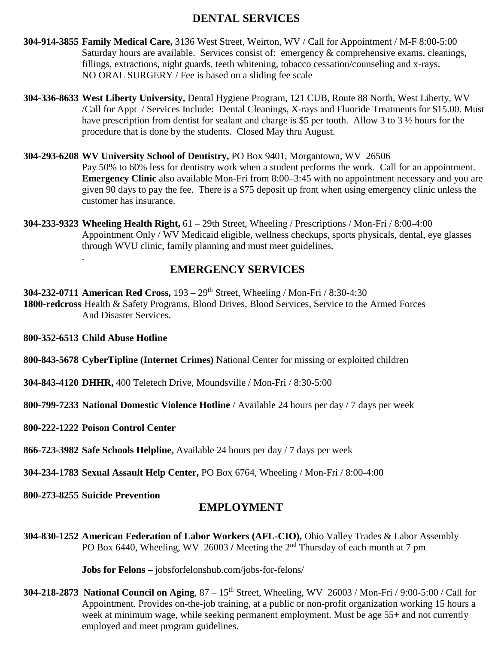## **DENTAL SERVICES**

- **304-914-3855 Family Medical Care,** 3136 West Street, Weirton, WV / Call for Appointment / M-F 8:00-5:00 Saturday hours are available. Services consist of: emergency & comprehensive exams, cleanings, fillings, extractions, night guards, teeth whitening, tobacco cessation/counseling and x-rays. NO ORAL SURGERY / Fee is based on a sliding fee scale
- **304-336-8633 West Liberty University,** Dental Hygiene Program, 121 CUB, Route 88 North, West Liberty, WV /Call for Appt / Services Include: Dental Cleanings, X-rays and Fluoride Treatments for \$15.00. Must have prescription from dentist for sealant and charge is \$5 per tooth. Allow 3 to 3 ½ hours for the procedure that is done by the students. Closed May thru August.
- **304-293-6208 WV University School of Dentistry,** PO Box 9401, Morgantown, WV 26506 Pay 50% to 60% less for dentistry work when a student performs the work. Call for an appointment. **Emergency Clinic** also available Mon-Fri from 8:00–3:45 with no appointment necessary and you are given 90 days to pay the fee. There is a \$75 deposit up front when using emergency clinic unless the customer has insurance.
- **304-233-9323 Wheeling Health Right,** 61 29th Street, Wheeling / Prescriptions / Mon-Fri / 8:00-4:00 Appointment Only / WV Medicaid eligible, wellness checkups, sports physicals, dental, eye glasses through WVU clinic, family planning and must meet guidelines.

## **EMERGENCY SERVICES**

**304-232-0711 American Red Cross,** 193 – 29th Street, Wheeling / Mon-Fri / 8:30-4:30 **1800-redcross** Health & Safety Programs, Blood Drives, Blood Services, Service to the Armed Forces And Disaster Services.

**800-352-6513 Child Abuse Hotline**

.

**800-843-5678 CyberTipline (Internet Crimes)** National Center for missing or exploited children

**304-843-4120 DHHR,** 400 Teletech Drive, Moundsville / Mon-Fri / 8:30-5:00

**800-799-7233 National Domestic Violence Hotline** / Available 24 hours per day / 7 days per week

**800-222-1222 Poison Control Center**

**866-723-3982 Safe Schools Helpline,** Available 24 hours per day / 7 days per week

**304-234-1783 Sexual Assault Help Center,** PO Box 6764, Wheeling / Mon-Fri / 8:00-4:00

**800-273-8255 Suicide Prevention**

#### **EMPLOYMENT**

**304-830-1252 American Federation of Labor Workers (AFL-CIO),** Ohio Valley Trades & Labor Assembly PO Box 6440, Wheeling, WV 26003 / Meeting the 2<sup>nd</sup> Thursday of each month at 7 pm

**Jobs for Felons –** jobsforfelonshub.com/jobs-for-felons/

**304-218-2873 National Council on Aging**, 87 – 15th Street, Wheeling, WV 26003 / Mon-Fri / 9:00-5:00 / Call for Appointment. Provides on-the-job training, at a public or non-profit organization working 15 hours a week at minimum wage, while seeking permanent employment. Must be age 55+ and not currently employed and meet program guidelines.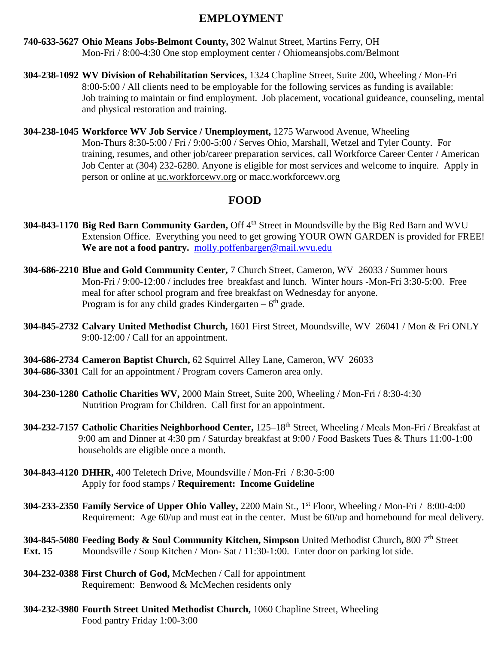## **EMPLOYMENT**

- **740-633-5627 Ohio Means Jobs-Belmont County,** 302 Walnut Street, Martins Ferry, OH Mon-Fri / 8:00-4:30 One stop employment center / Ohiomeansjobs.com/Belmont
- **304-238-1092 WV Division of Rehabilitation Services,** 1324 Chapline Street, Suite 200**,** Wheeling / Mon-Fri 8:00-5:00 / All clients need to be employable for the following services as funding is available: Job training to maintain or find employment. Job placement, vocational guideance, counseling, mental and physical restoration and training.
- **304-238-1045 Workforce WV Job Service / Unemployment,** 1275 Warwood Avenue, Wheeling Mon-Thurs 8:30-5:00 / Fri / 9:00-5:00 / Serves Ohio, Marshall, Wetzel and Tyler County. For training, resumes, and other job/career preparation services, call Workforce Career Center / American Job Center at (304) 232-6280. Anyone is eligible for most services and welcome to inquire. Apply in person or online at uc.workforcewv.org or macc.workforcewv.org

## **FOOD**

- **304-843-1170 Big Red Barn Community Garden, Off 4<sup>th</sup> Street in Moundsville by the Big Red Barn and WVU** Extension Office. Everything you need to get growing YOUR OWN GARDEN is provided for FREE! **We are not a food pantry.** [molly.poffenbarger@mail.wvu.edu](mailto:molly.poffenbarger@mail.wvu.edu)
- **304-686-2210 Blue and Gold Community Center,** 7 Church Street, Cameron, WV 26033 / Summer hours Mon-Fri / 9:00-12:00 / includes free breakfast and lunch. Winter hours -Mon-Fri 3:30-5:00. Free meal for after school program and free breakfast on Wednesday for anyone. Program is for any child grades Kindergarten –  $6<sup>th</sup>$  grade.
- **304-845-2732 Calvary United Methodist Church,** 1601 First Street, Moundsville, WV 26041 / Mon & Fri ONLY 9:00-12:00 / Call for an appointment.
- **304-686-2734 Cameron Baptist Church,** 62 Squirrel Alley Lane, Cameron, WV 26033 **304-686-3301** Call for an appointment / Program covers Cameron area only.
- **304-230-1280 Catholic Charities WV,** 2000 Main Street, Suite 200, Wheeling / Mon-Fri / 8:30-4:30 Nutrition Program for Children. Call first for an appointment.
- **304-232-7157 Catholic Charities Neighborhood Center,** 125–18th Street, Wheeling / Meals Mon-Fri / Breakfast at 9:00 am and Dinner at 4:30 pm / Saturday breakfast at 9:00 / Food Baskets Tues & Thurs 11:00-1:00 households are eligible once a month.
- **304-843-4120 DHHR,** 400 Teletech Drive, Moundsville / Mon-Fri / 8:30-5:00 Apply for food stamps / **Requirement: Income Guideline**
- **304-233-2350 Family Service of Upper Ohio Valley,** 2200 Main St., 1st Floor, Wheeling / Mon-Fri / 8:00-4:00 Requirement: Age 60/up and must eat in the center. Must be 60/up and homebound for meal delivery.
- **304-845-5080 Feeding Body & Soul Community Kitchen, Simpson** United Methodist Church**,** 800 7th Street **Ext. 15** Moundsville / Soup Kitchen / Mon- Sat / 11:30-1:00. Enter door on parking lot side.
- **304-232-0388 First Church of God,** McMechen / Call for appointment Requirement: Benwood & McMechen residents only
- **304-232-3980 Fourth Street United Methodist Church,** 1060 Chapline Street, Wheeling Food pantry Friday 1:00-3:00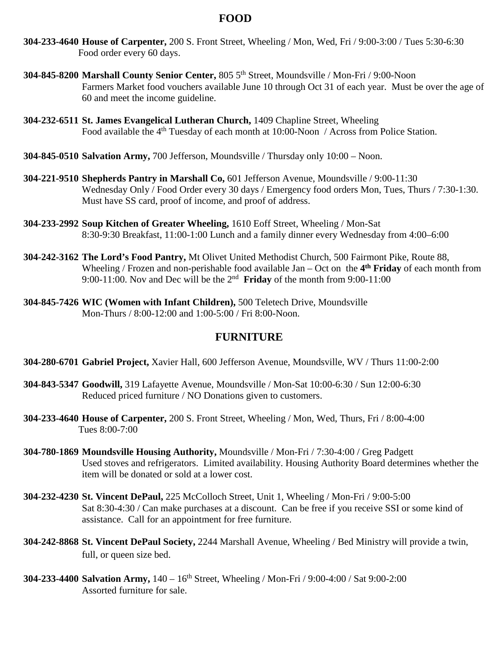## **FOOD**

- **304-233-4640 House of Carpenter,** 200 S. Front Street, Wheeling / Mon, Wed, Fri / 9:00-3:00 / Tues 5:30-6:30 Food order every 60 days.
- **304-845-8200 Marshall County Senior Center,** 805 5th Street, Moundsville / Mon-Fri / 9:00-Noon Farmers Market food vouchers available June 10 through Oct 31 of each year. Must be over the age of 60 and meet the income guideline.
- **304-232-6511 St. James Evangelical Lutheran Church,** 1409 Chapline Street, Wheeling Food available the 4<sup>th</sup> Tuesday of each month at 10:00-Noon / Across from Police Station.
- **304-845-0510 Salvation Army,** 700 Jefferson, Moundsville / Thursday only 10:00 Noon.
- **304-221-9510 Shepherds Pantry in Marshall Co,** 601 Jefferson Avenue, Moundsville / 9:00-11:30 Wednesday Only / Food Order every 30 days / Emergency food orders Mon, Tues, Thurs / 7:30-1:30. Must have SS card, proof of income, and proof of address.
- **304-233-2992 Soup Kitchen of Greater Wheeling,** 1610 Eoff Street, Wheeling / Mon-Sat 8:30-9:30 Breakfast, 11:00-1:00 Lunch and a family dinner every Wednesday from 4:00–6:00
- **304-242-3162 The Lord's Food Pantry,** Mt Olivet United Methodist Church, 500 Fairmont Pike, Route 88, Wheeling / Frozen and non-perishable food available Jan – Oct on the **4th Friday** of each month from 9:00-11:00. Nov and Dec will be the 2nd **Friday** of the month from 9:00-11:00
- **304-845-7426 WIC (Women with Infant Children),** 500 Teletech Drive, Moundsville Mon-Thurs / 8:00-12:00 and 1:00-5:00 / Fri 8:00-Noon.

#### **FURNITURE**

- **304-280-6701 Gabriel Project,** Xavier Hall, 600 Jefferson Avenue, Moundsville, WV / Thurs 11:00-2:00
- **304-843-5347 Goodwill,** 319 Lafayette Avenue, Moundsville / Mon-Sat 10:00-6:30 / Sun 12:00-6:30 Reduced priced furniture / NO Donations given to customers.
- **304-233-4640 House of Carpenter,** 200 S. Front Street, Wheeling / Mon, Wed, Thurs, Fri / 8:00-4:00 Tues 8:00-7:00
- **304-780-1869 Moundsville Housing Authority,** Moundsville / Mon-Fri / 7:30-4:00 / Greg Padgett Used stoves and refrigerators. Limited availability. Housing Authority Board determines whether the item will be donated or sold at a lower cost.
- **304-232-4230 St. Vincent DePaul,** 225 McColloch Street, Unit 1, Wheeling / Mon-Fri / 9:00-5:00 Sat 8:30-4:30 / Can make purchases at a discount. Can be free if you receive SSI or some kind of assistance. Call for an appointment for free furniture.
- **304-242-8868 St. Vincent DePaul Society,** 2244 Marshall Avenue, Wheeling / Bed Ministry will provide a twin, full, or queen size bed.
- **304-233-4400 Salvation Army,** 140 16th Street, Wheeling / Mon-Fri / 9:00-4:00 / Sat 9:00-2:00 Assorted furniture for sale.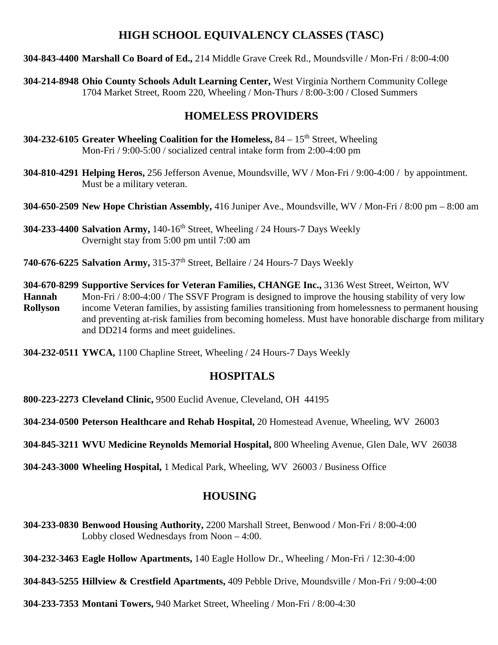## **HIGH SCHOOL EQUIVALENCY CLASSES (TASC)**

**304-843-4400 Marshall Co Board of Ed.,** 214 Middle Grave Creek Rd., Moundsville / Mon-Fri / 8:00-4:00

**304-214-8948 Ohio County Schools Adult Learning Center,** West Virginia Northern Community College 1704 Market Street, Room 220, Wheeling / Mon-Thurs / 8:00-3:00 / Closed Summers

## **HOMELESS PROVIDERS**

- **304-232-6105 Greater Wheeling Coalition for the Homeless,** 84 15th Street, Wheeling Mon-Fri / 9:00-5:00 / socialized central intake form from 2:00-4:00 pm
- **304-810-4291 Helping Heros,** 256 Jefferson Avenue, Moundsville, WV / Mon-Fri / 9:00-4:00 / by appointment. Must be a military veteran.
- **304-650-2509 New Hope Christian Assembly,** 416 Juniper Ave., Moundsville, WV / Mon-Fri / 8:00 pm 8:00 am
- **304-233-4400 Salvation Army,** 140-16th Street, Wheeling / 24 Hours-7 Days Weekly Overnight stay from 5:00 pm until 7:00 am
- **740-676-6225 Salvation Army,** 315-37th Street, Bellaire / 24 Hours-7 Days Weekly
- **304-670-8299 Supportive Services for Veteran Families, CHANGE Inc.,** 3136 West Street, Weirton, WV **Hannah** Mon-Fri / 8:00-4:00 / The SSVF Program is designed to improve the housing stability of very low **Rollyson** income Veteran families, by assisting families transitioning from homelessness to permanent housing and preventing at-risk families from becoming homeless. Must have honorable discharge from military and DD214 forms and meet guidelines.

**304-232-0511 YWCA,** 1100 Chapline Street, Wheeling / 24 Hours-7 Days Weekly

## **HOSPITALS**

**800-223-2273 Cleveland Clinic,** 9500 Euclid Avenue, Cleveland, OH 44195

**304-234-0500 Peterson Healthcare and Rehab Hospital,** 20 Homestead Avenue, Wheeling, WV 26003

**304-845-3211 WVU Medicine Reynolds Memorial Hospital,** 800 Wheeling Avenue, Glen Dale, WV 26038

**304-243-3000 Wheeling Hospital,** 1 Medical Park, Wheeling, WV 26003 / Business Office

## **HOUSING**

**304-233-0830 Benwood Housing Authority,** 2200 Marshall Street, Benwood / Mon-Fri / 8:00-4:00 Lobby closed Wednesdays from Noon – 4:00.

**304-232-3463 Eagle Hollow Apartments,** 140 Eagle Hollow Dr., Wheeling / Mon-Fri / 12:30-4:00

**304-843-5255 Hillview & Crestfield Apartments,** 409 Pebble Drive, Moundsville / Mon-Fri / 9:00-4:00

**304-233-7353 Montani Towers,** 940 Market Street, Wheeling / Mon-Fri / 8:00-4:30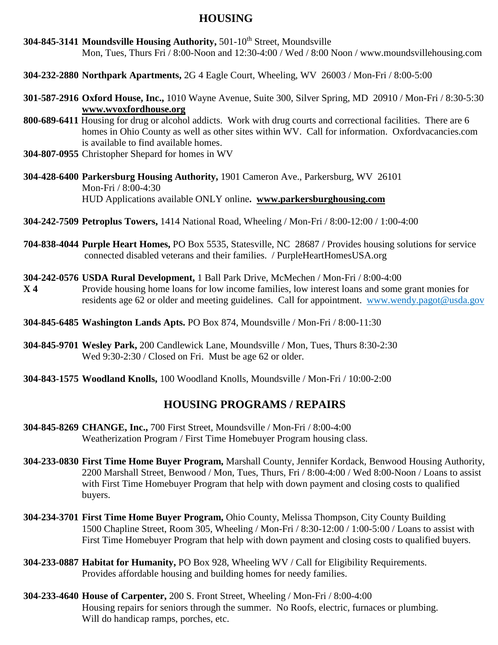### **HOUSING**

- **304-845-3141 Moundsville Housing Authority, 501-10<sup>th</sup> Street, Moundsville** Mon, Tues, Thurs Fri / 8:00-Noon and 12:30-4:00 / Wed / 8:00 Noon / www.moundsvillehousing.com
- **304-232-2880 Northpark Apartments,** 2G 4 Eagle Court, Wheeling, WV 26003 / Mon-Fri / 8:00-5:00
- **301-587-2916 Oxford House, Inc.,** 1010 Wayne Avenue, Suite 300, Silver Spring, MD 20910 / Mon-Fri / 8:30-5:30 **[www.wvoxfordhouse.org](http://www.wvoxfordhouse.org/)**
- **800-689-6411** Housing for drug or alcohol addicts. Work with drug courts and correctional facilities. There are 6 homes in Ohio County as well as other sites within WV. Call for information. Oxfordvacancies.com is available to find available homes.
- **304-807-0955** Christopher Shepard for homes in WV
- **304-428-6400 Parkersburg Housing Authority,** 1901 Cameron Ave., Parkersburg, WV 26101 Mon-Fri / 8:00-4:30 HUD Applications available ONLY online**. [www.parkersburghousing.com](http://www.parkersburghousing.com/)**
- **304-242-7509 Petroplus Towers,** 1414 National Road, Wheeling / Mon-Fri / 8:00-12:00 / 1:00-4:00
- **704-838-4044 Purple Heart Homes,** PO Box 5535, Statesville, NC 28687 / Provides housing solutions for service connected disabled veterans and their families. / PurpleHeartHomesUSA.org
- **304-242-0576 USDA Rural Development,** 1 Ball Park Drive, McMechen / Mon-Fri / 8:00-4:00
- **X 4** Provide housing home loans for low income families, low interest loans and some grant monies for residents age 62 or older and meeting guidelines. Call for appointment. [www.wendy.pagot@usda.gov](http://www.wendy.pagot@usda.gov)
- **304-845-6485 Washington Lands Apts.** PO Box 874, Moundsville / Mon-Fri / 8:00-11:30
- **304-845-9701 Wesley Park,** 200 Candlewick Lane, Moundsville / Mon, Tues, Thurs 8:30-2:30 Wed 9:30-2:30 / Closed on Fri. Must be age 62 or older.
- **304-843-1575 Woodland Knolls,** 100 Woodland Knolls, Moundsville / Mon-Fri / 10:00-2:00

## **HOUSING PROGRAMS / REPAIRS**

- **304-845-8269 CHANGE, Inc.,** 700 First Street, Moundsville / Mon-Fri / 8:00-4:00 Weatherization Program / First Time Homebuyer Program housing class.
- **304-233-0830 First Time Home Buyer Program,** Marshall County, Jennifer Kordack, Benwood Housing Authority, 2200 Marshall Street, Benwood / Mon, Tues, Thurs, Fri / 8:00-4:00 / Wed 8:00-Noon / Loans to assist with First Time Homebuyer Program that help with down payment and closing costs to qualified buyers.
- **304-234-3701 First Time Home Buyer Program,** Ohio County, Melissa Thompson, City County Building 1500 Chapline Street, Room 305, Wheeling / Mon-Fri / 8:30-12:00 / 1:00-5:00 / Loans to assist with First Time Homebuyer Program that help with down payment and closing costs to qualified buyers.
- **304-233-0887 Habitat for Humanity,** PO Box 928, Wheeling WV / Call for Eligibility Requirements. Provides affordable housing and building homes for needy families.
- **304-233-4640 House of Carpenter,** 200 S. Front Street, Wheeling / Mon-Fri / 8:00-4:00 Housing repairs for seniors through the summer. No Roofs, electric, furnaces or plumbing. Will do handicap ramps, porches, etc.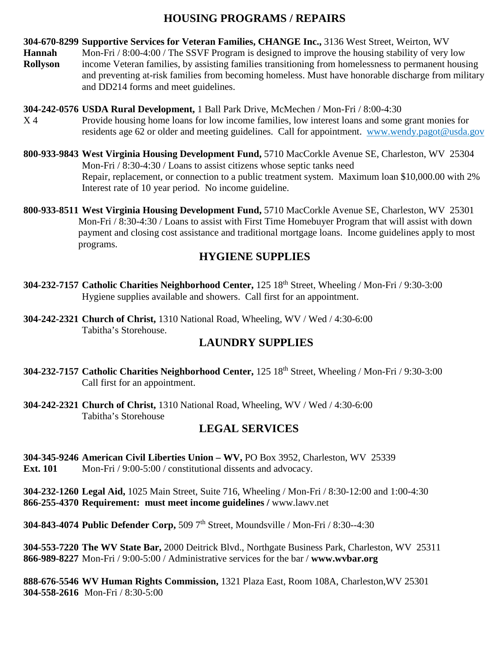## **HOUSING PROGRAMS / REPAIRS**

**304-670-8299 Supportive Services for Veteran Families, CHANGE Inc.,** 3136 West Street, Weirton, WV

- **Hannah** Mon-Fri / 8:00-4:00 / The SSVF Program is designed to improve the housing stability of very low **Rollyson** income Veteran families, by assisting families transitioning from homelessness to permanent housing and preventing at-risk families from becoming homeless. Must have honorable discharge from military and DD214 forms and meet guidelines.
- **304-242-0576 USDA Rural Development,** 1 Ball Park Drive, McMechen / Mon-Fri / 8:00-4:30 X 4 Provide housing home loans for low income families, low interest loans and some grant monies for residents age 62 or older and meeting guidelines.Call for appointment. [www.wendy.pagot@usda.gov](http://www.wendy.pagot@usda.gov)
- **800-933-9843 West Virginia Housing Development Fund,** 5710 MacCorkle Avenue SE, Charleston, WV 25304 Mon-Fri / 8:30-4:30 / Loans to assist citizens whose septic tanks need Repair, replacement, or connection to a public treatment system. Maximum loan \$10,000.00 with 2% Interest rate of 10 year period. No income guideline.
- **800-933-8511 West Virginia Housing Development Fund,** 5710 MacCorkle Avenue SE, Charleston, WV 25301 Mon-Fri / 8:30-4:30 / Loans to assist with First Time Homebuyer Program that will assist with down payment and closing cost assistance and traditional mortgage loans. Income guidelines apply to most programs.

## **HYGIENE SUPPLIES**

- **304-232-7157 Catholic Charities Neighborhood Center,** 125 18th Street, Wheeling / Mon-Fri / 9:30-3:00 Hygiene supplies available and showers. Call first for an appointment.
- **304-242-2321 Church of Christ,** 1310 National Road, Wheeling, WV / Wed / 4:30-6:00 Tabitha's Storehouse.

## **LAUNDRY SUPPLIES**

- **304-232-7157 Catholic Charities Neighborhood Center,** 125 18th Street, Wheeling / Mon-Fri / 9:30-3:00 Call first for an appointment.
- **304-242-2321 Church of Christ,** 1310 National Road, Wheeling, WV / Wed / 4:30-6:00 Tabitha's Storehouse

## **LEGAL SERVICES**

- **304-345-9246 American Civil Liberties Union – WV,** PO Box 3952, Charleston, WV 25339
- **Ext. 101** Mon-Fri / 9:00-5:00 / constitutional dissents and advocacy.

**304-232-1260 Legal Aid,** 1025 Main Street, Suite 716, Wheeling / Mon-Fri / 8:30-12:00 and 1:00-4:30 **866-255-4370 Requirement: must meet income guidelines /** www.lawv.net

**304-843-4074 Public Defender Corp,** 509 7th Street, Moundsville / Mon-Fri / 8:30--4:30

**304-553-7220 The WV State Bar,** 2000 Deitrick Blvd., Northgate Business Park, Charleston, WV 25311 **866-989-8227** Mon-Fri / 9:00-5:00 / Administrative services for the bar / **www.wvbar.org**

**888-676-5546 WV Human Rights Commission,** 1321 Plaza East, Room 108A, Charleston,WV 25301 **304-558-2616** Mon-Fri / 8:30-5:00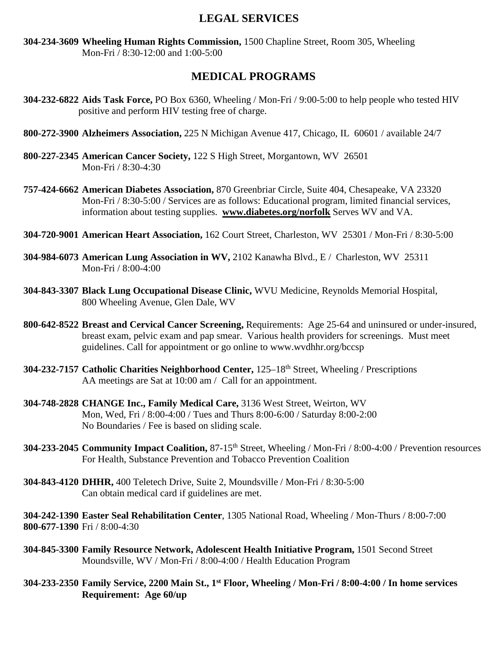### **LEGAL SERVICES**

**304-234-3609 Wheeling Human Rights Commission,** 1500 Chapline Street, Room 305, Wheeling Mon-Fri / 8:30-12:00 and 1:00-5:00

### **MEDICAL PROGRAMS**

- **304-232-6822 Aids Task Force,** PO Box 6360, Wheeling / Mon-Fri / 9:00-5:00 to help people who tested HIV positive and perform HIV testing free of charge.
- **800-272-3900 Alzheimers Association,** 225 N Michigan Avenue 417, Chicago, IL 60601 / available 24/7
- **800-227-2345 American Cancer Society,** 122 S High Street, Morgantown, WV 26501 Mon-Fri / 8:30-4:30
- **757-424-6662 American Diabetes Association,** 870 Greenbriar Circle, Suite 404, Chesapeake, VA 23320 Mon-Fri / 8:30-5:00 / Services are as follows: Educational program, limited financial services, information about testing supplies. **[www.diabetes.org/norfolk](http://www.diabetes.org/norfolk)** Serves WV and VA.
- **304-720-9001 American Heart Association,** 162 Court Street, Charleston, WV 25301 / Mon-Fri / 8:30-5:00
- **304-984-6073 American Lung Association in WV,** 2102 Kanawha Blvd., E / Charleston, WV 25311 Mon-Fri / 8:00-4:00
- **304-843-3307 Black Lung Occupational Disease Clinic,** WVU Medicine, Reynolds Memorial Hospital, 800 Wheeling Avenue, Glen Dale, WV
- **800-642-8522 Breast and Cervical Cancer Screening,** Requirements: Age 25-64 and uninsured or under-insured, breast exam, pelvic exam and pap smear. Various health providers for screenings. Must meet guidelines. Call for appointment or go online to www.wvdhhr.org/bccsp
- **304-232-7157 Catholic Charities Neighborhood Center,** 125–18th Street, Wheeling / Prescriptions AA meetings are Sat at 10:00 am / Call for an appointment.
- **304-748-2828 CHANGE Inc., Family Medical Care,** 3136 West Street, Weirton, WV Mon, Wed, Fri / 8:00-4:00 / Tues and Thurs 8:00-6:00 / Saturday 8:00-2:00 No Boundaries / Fee is based on sliding scale.
- **304-233-2045 Community Impact Coalition,** 87-15th Street, Wheeling / Mon-Fri / 8:00-4:00 / Prevention resources For Health, Substance Prevention and Tobacco Prevention Coalition
- **304-843-4120 DHHR,** 400 Teletech Drive, Suite 2, Moundsville / Mon-Fri / 8:30-5:00 Can obtain medical card if guidelines are met.

**304-242-1390 Easter Seal Rehabilitation Center**, 1305 National Road, Wheeling / Mon-Thurs / 8:00-7:00 **800-677-1390** Fri / 8:00-4:30

- **304-845-3300 Family Resource Network, Adolescent Health Initiative Program,** 1501 Second Street Moundsville, WV / Mon-Fri / 8:00-4:00 / Health Education Program
- **304-233-2350 Family Service, 2200 Main St., 1st Floor, Wheeling / Mon-Fri / 8:00-4:00 / In home services Requirement: Age 60/up**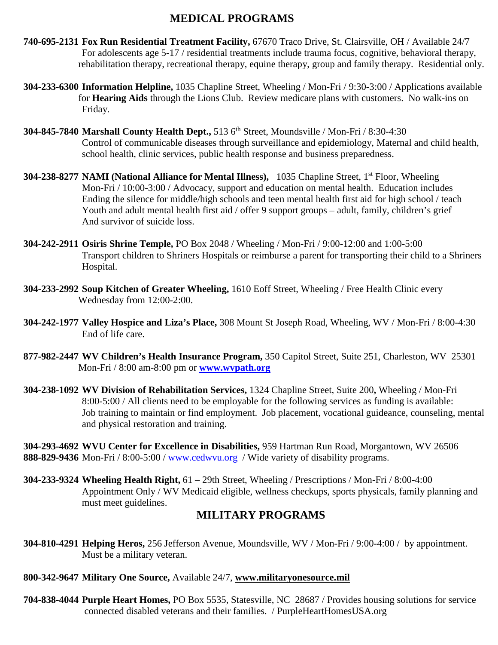## **MEDICAL PROGRAMS**

- **740-695-2131 Fox Run Residential Treatment Facility,** 67670 Traco Drive, St. Clairsville, OH / Available 24/7 For adolescents age 5-17 / residential treatments include trauma focus, cognitive, behavioral therapy, rehabilitation therapy, recreational therapy, equine therapy, group and family therapy. Residential only.
- **304-233-6300 Information Helpline,** 1035 Chapline Street, Wheeling / Mon-Fri / 9:30-3:00 / Applications available for **Hearing Aids** through the Lions Club. Review medicare plans with customers. No walk-ins on Friday.
- **304-845-7840 Marshall County Health Dept.,** 513 6th Street, Moundsville / Mon-Fri / 8:30-4:30 Control of communicable diseases through surveillance and epidemiology, Maternal and child health, school health, clinic services, public health response and business preparedness.
- **304-238-8277 NAMI (National Alliance for Mental Illness),** 1035 Chapline Street, 1st Floor, Wheeling Mon-Fri / 10:00-3:00 / Advocacy, support and education on mental health. Education includes Ending the silence for middle/high schools and teen mental health first aid for high school / teach Youth and adult mental health first aid / offer 9 support groups – adult, family, children's grief And survivor of suicide loss.
- **304-242-2911 Osiris Shrine Temple,** PO Box 2048 / Wheeling / Mon-Fri / 9:00-12:00 and 1:00-5:00 Transport children to Shriners Hospitals or reimburse a parent for transporting their child to a Shriners Hospital.
- **304-233-2992 Soup Kitchen of Greater Wheeling,** 1610 Eoff Street, Wheeling / Free Health Clinic every Wednesday from 12:00-2:00.
- **304-242-1977 Valley Hospice and Liza's Place,** 308 Mount St Joseph Road, Wheeling, WV / Mon-Fri / 8:00-4:30 End of life care.
- **877-982-2447 WV Children's Health Insurance Program,** 350 Capitol Street, Suite 251, Charleston, WV 25301 Mon-Fri / 8:00 am-8:00 pm or **[www.wvpath.org](http://www.wvpath.org/)**
- **304-238-1092 WV Division of Rehabilitation Services,** 1324 Chapline Street, Suite 200**,** Wheeling / Mon-Fri 8:00-5:00 / All clients need to be employable for the following services as funding is available: Job training to maintain or find employment. Job placement, vocational guideance, counseling, mental and physical restoration and training.

**304-293-4692 WVU Center for Excellence in Disabilities,** 959 Hartman Run Road, Morgantown, WV 26506 **888-829-9436** Mon-Fri / 8:00-5:00 / [www.cedwvu.org](http://www.cedwvu.org/) / Wide variety of disability programs.

**304-233-9324 Wheeling Health Right,** 61 – 29th Street, Wheeling / Prescriptions / Mon-Fri / 8:00-4:00 Appointment Only / WV Medicaid eligible, wellness checkups, sports physicals, family planning and must meet guidelines.

## **MILITARY PROGRAMS**

**304-810-4291 Helping Heros,** 256 Jefferson Avenue, Moundsville, WV / Mon-Fri / 9:00-4:00 / by appointment. Must be a military veteran.

#### **800-342-9647 Military One Source,** Available 24/7, **[www.militaryonesource.mil](http://www.militaryonesource.mil/)**

**704-838-4044 Purple Heart Homes,** PO Box 5535, Statesville, NC 28687 / Provides housing solutions for service connected disabled veterans and their families. / PurpleHeartHomesUSA.org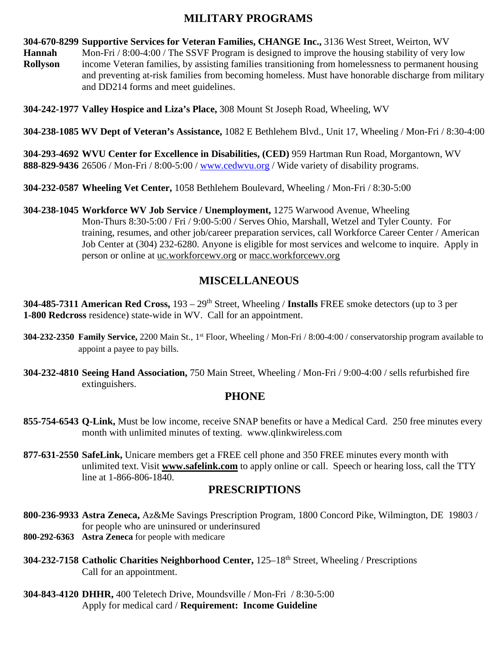## **MILITARY PROGRAMS**

**304-670-8299 Supportive Services for Veteran Families, CHANGE Inc.,** 3136 West Street, Weirton, WV

**Hannah** Mon-Fri / 8:00-4:00 / The SSVF Program is designed to improve the housing stability of very low **Rollyson** income Veteran families, by assisting families transitioning from homelessness to permanent housing and preventing at-risk families from becoming homeless. Must have honorable discharge from military and DD214 forms and meet guidelines.

**304-242-1977 Valley Hospice and Liza's Place,** 308 Mount St Joseph Road, Wheeling, WV

**304-238-1085 WV Dept of Veteran's Assistance,** 1082 E Bethlehem Blvd., Unit 17, Wheeling / Mon-Fri / 8:30-4:00

**304-293-4692 WVU Center for Excellence in Disabilities, (CED)** 959 Hartman Run Road, Morgantown, WV **888-829-9436** 26506 / Mon-Fri / 8:00-5:00 / [www.cedwvu.org](http://www.cedwvu.org/) / Wide variety of disability programs.

- **304-232-0587 Wheeling Vet Center,** 1058 Bethlehem Boulevard, Wheeling / Mon-Fri / 8:30-5:00
- **304-238-1045 Workforce WV Job Service / Unemployment,** 1275 Warwood Avenue, Wheeling Mon-Thurs 8:30-5:00 / Fri / 9:00-5:00 / Serves Ohio, Marshall, Wetzel and Tyler County. For training, resumes, and other job/career preparation services, call Workforce Career Center / American Job Center at (304) 232-6280. Anyone is eligible for most services and welcome to inquire. Apply in person or online at uc.workforcewv.org or macc.workforcewv.org

# **MISCELLANEOUS**

**304-485-7311 American Red Cross,** 193 – 29th Street, Wheeling / **Installs** FREE smoke detectors (up to 3 per **1-800 Redcross** residence) state-wide in WV. Call for an appointment.

- **304-232-2350** Family Service, 2200 Main St., 1<sup>st</sup> Floor, Wheeling / Mon-Fri / 8:00-4:00 / conservatorship program available to appoint a payee to pay bills.
- **304-232-4810 Seeing Hand Association,** 750 Main Street, Wheeling / Mon-Fri / 9:00-4:00 / sells refurbished fire extinguishers.

## **PHONE**

- **855-754-6543 Q-Link,** Must be low income, receive SNAP benefits or have a Medical Card. 250 free minutes every month with unlimited minutes of texting. www.qlinkwireless.com
- **877-631-2550 SafeLink,** Unicare members get a FREE cell phone and 350 FREE minutes every month with unlimited text. Visit **[www.safelink.com](http://www.safelink.com/)** to apply online or call. Speech or hearing loss, call the TTY line at 1-866-806-1840.

## **PRESCRIPTIONS**

- **800-236-9933 Astra Zeneca,** Az&Me Savings Prescription Program, 1800 Concord Pike, Wilmington, DE 19803 / for people who are uninsured or underinsured **800-292-6363 Astra Zeneca** for people with medicare
- **304-232-7158 Catholic Charities Neighborhood Center,** 125–18th Street, Wheeling / Prescriptions Call for an appointment.
- **304-843-4120 DHHR,** 400 Teletech Drive, Moundsville / Mon-Fri / 8:30-5:00 Apply for medical card / **Requirement: Income Guideline**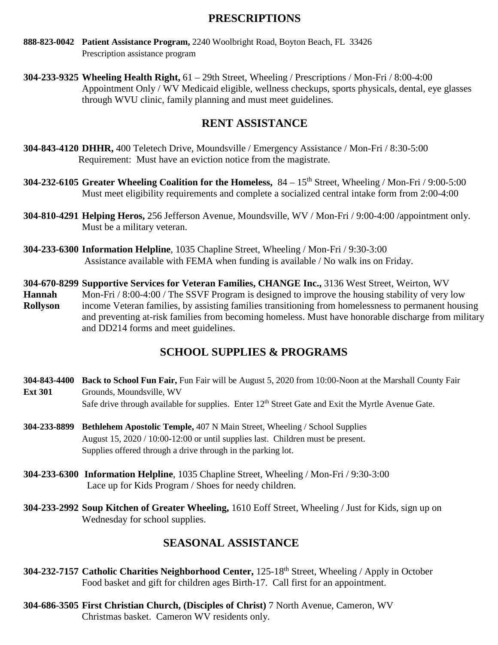### **PRESCRIPTIONS**

- **888-823-0042 Patient Assistance Program,** 2240 Woolbright Road, Boyton Beach, FL 33426 Prescription assistance program
- **304-233-9325 Wheeling Health Right,** 61 29th Street, Wheeling / Prescriptions / Mon-Fri / 8:00-4:00 Appointment Only / WV Medicaid eligible, wellness checkups, sports physicals, dental, eye glasses through WVU clinic, family planning and must meet guidelines.

## **RENT ASSISTANCE**

- **304-843-4120 DHHR,** 400 Teletech Drive, Moundsville / Emergency Assistance / Mon-Fri / 8:30-5:00 Requirement: Must have an eviction notice from the magistrate.
- **304-232-6105** Greater Wheeling Coalition for the Homeless,  $84 15^{th}$  Street, Wheeling / Mon-Fri / 9:00-5:00 Must meet eligibility requirements and complete a socialized central intake form from 2:00-4:00
- **304-810-4291 Helping Heros,** 256 Jefferson Avenue, Moundsville, WV / Mon-Fri / 9:00-4:00 /appointment only. Must be a military veteran.
- **304-233-6300 Information Helpline**, 1035 Chapline Street, Wheeling / Mon-Fri / 9:30-3:00 Assistance available with FEMA when funding is available / No walk ins on Friday.

**304-670-8299 Supportive Services for Veteran Families, CHANGE Inc.,** 3136 West Street, Weirton, WV **Hannah** Mon-Fri / 8:00-4:00 / The SSVF Program is designed to improve the housing stability of very low **Rollyson** income Veteran families, by assisting families transitioning from homelessness to permanent housing and preventing at-risk families from becoming homeless. Must have honorable discharge from military and DD214 forms and meet guidelines.

## **SCHOOL SUPPLIES & PROGRAMS**

- **304-843-4400 Back to School Fun Fair,** Fun Fair will be August 5, 2020 from 10:00-Noon at the Marshall County Fair **Ext 301** Grounds, Moundsville, WV Safe drive through available for supplies. Enter 12<sup>th</sup> Street Gate and Exit the Myrtle Avenue Gate.
- **304-233-8899 Bethlehem Apostolic Temple,** 407 N Main Street, Wheeling / School Supplies August 15, 2020 / 10:00-12:00 or until supplies last. Children must be present. Supplies offered through a drive through in the parking lot.
- **304-233-6300 Information Helpline**, 1035 Chapline Street, Wheeling / Mon-Fri / 9:30-3:00 Lace up for Kids Program / Shoes for needy children.
- **304-233-2992 Soup Kitchen of Greater Wheeling,** 1610 Eoff Street, Wheeling / Just for Kids, sign up on Wednesday for school supplies.

## **SEASONAL ASSISTANCE**

- **304-232-7157 Catholic Charities Neighborhood Center,** 125-18th Street, Wheeling / Apply in October Food basket and gift for children ages Birth-17. Call first for an appointment.
- **304-686-3505 First Christian Church, (Disciples of Christ)** 7 North Avenue, Cameron, WV Christmas basket. Cameron WV residents only.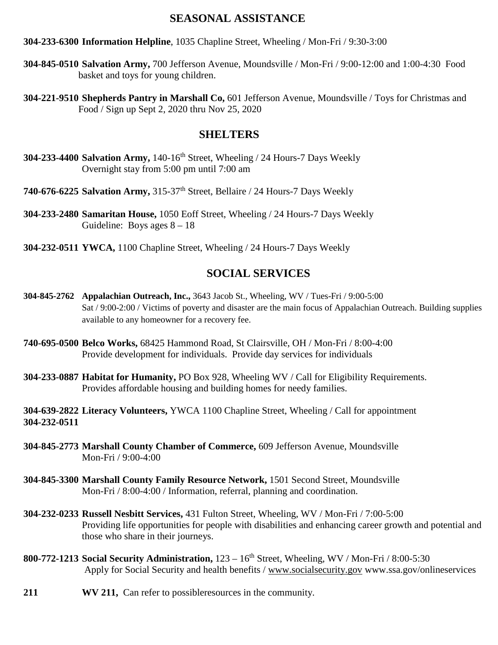#### **SEASONAL ASSISTANCE**

#### **304-233-6300 Information Helpline**, 1035 Chapline Street, Wheeling / Mon-Fri / 9:30-3:00

- **304-845-0510 Salvation Army,** 700 Jefferson Avenue, Moundsville / Mon-Fri / 9:00-12:00 and 1:00-4:30 Food basket and toys for young children.
- **304-221-9510 Shepherds Pantry in Marshall Co,** 601 Jefferson Avenue, Moundsville / Toys for Christmas and Food / Sign up Sept 2, 2020 thru Nov 25, 2020

#### **SHELTERS**

- **304-233-4400 Salvation Army,** 140-16th Street, Wheeling / 24 Hours-7 Days Weekly Overnight stay from 5:00 pm until 7:00 am
- **740-676-6225 Salvation Army,** 315-37th Street, Bellaire / 24 Hours-7 Days Weekly
- **304-233-2480 Samaritan House,** 1050 Eoff Street, Wheeling / 24 Hours-7 Days Weekly Guideline: Boys ages  $8 - 18$
- **304-232-0511 YWCA,** 1100 Chapline Street, Wheeling / 24 Hours-7 Days Weekly

#### **SOCIAL SERVICES**

- **304-845-2762 Appalachian Outreach, Inc.,** 3643 Jacob St., Wheeling, WV / Tues-Fri / 9:00-5:00 Sat / 9:00-2:00 / Victims of poverty and disaster are the main focus of Appalachian Outreach. Building supplies available to any homeowner for a recovery fee.
- **740-695-0500 Belco Works,** 68425 Hammond Road, St Clairsville, OH / Mon-Fri / 8:00-4:00 Provide development for individuals. Provide day services for individuals
- **304-233-0887 Habitat for Humanity,** PO Box 928, Wheeling WV / Call for Eligibility Requirements. Provides affordable housing and building homes for needy families.

**304-639-2822 Literacy Volunteers,** YWCA 1100 Chapline Street, Wheeling / Call for appointment **304-232-0511**

- **304-845-2773 Marshall County Chamber of Commerce,** 609 Jefferson Avenue, Moundsville Mon-Fri / 9:00-4:00
- **304-845-3300 Marshall County Family Resource Network,** 1501 Second Street, Moundsville Mon-Fri / 8:00-4:00 / Information, referral, planning and coordination.
- **304-232-0233 Russell Nesbitt Services,** 431 Fulton Street, Wheeling, WV / Mon-Fri / 7:00-5:00 Providing life opportunities for people with disabilities and enhancing career growth and potential and those who share in their journeys.
- **800-772-1213 Social Security Administration,** 123 16th Street, Wheeling, WV / Mon-Fri / 8:00-5:30 Apply for Social Security and health benefits / [www.socialsecurity.gov](http://www.socialsecurity.gov/) www.ssa.gov/onlineservices
- **211 WV 211,** Can refer to possibleresources in the community.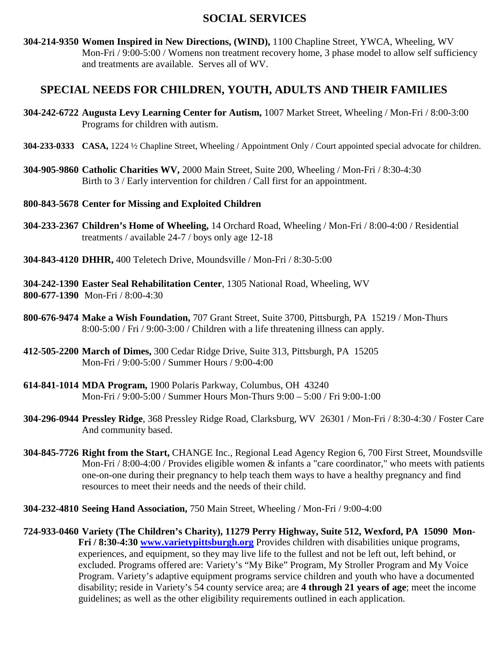## **SOCIAL SERVICES**

**304-214-9350 Women Inspired in New Directions, (WIND),** 1100 Chapline Street, YWCA, Wheeling, WV Mon-Fri / 9:00-5:00 / Womens non treatment recovery home, 3 phase model to allow self sufficiency and treatments are available. Serves all of WV.

#### **SPECIAL NEEDS FOR CHILDREN, YOUTH, ADULTS AND THEIR FAMILIES**

- **304-242-6722 Augusta Levy Learning Center for Autism,** 1007 Market Street, Wheeling / Mon-Fri / 8:00-3:00 Programs for children with autism.
- **304-233-0333 CASA,** 1224 ½ Chapline Street, Wheeling / Appointment Only / Court appointed special advocate for children.
- **304-905-9860 Catholic Charities WV,** 2000 Main Street, Suite 200, Wheeling / Mon-Fri / 8:30-4:30 Birth to 3 / Early intervention for children / Call first for an appointment.

#### **800-843-5678 Center for Missing and Exploited Children**

- **304-233-2367 Children's Home of Wheeling,** 14 Orchard Road, Wheeling / Mon-Fri / 8:00-4:00 / Residential treatments / available 24-7 / boys only age 12-18
- **304-843-4120 DHHR,** 400 Teletech Drive, Moundsville / Mon-Fri / 8:30-5:00
- **304-242-1390 Easter Seal Rehabilitation Center**, 1305 National Road, Wheeling, WV **800-677-1390** Mon-Fri / 8:00-4:30
- **800-676-9474 Make a Wish Foundation,** 707 Grant Street, Suite 3700, Pittsburgh, PA 15219 / Mon-Thurs 8:00-5:00 / Fri / 9:00-3:00 / Children with a life threatening illness can apply.
- **412-505-2200 March of Dimes,** 300 Cedar Ridge Drive, Suite 313, Pittsburgh, PA 15205 Mon-Fri / 9:00-5:00 / Summer Hours / 9:00-4:00
- **614-841-1014 MDA Program,** 1900 Polaris Parkway, Columbus, OH 43240 Mon-Fri / 9:00-5:00 / Summer Hours Mon-Thurs 9:00 – 5:00 / Fri 9:00-1:00
- **304-296-0944 Pressley Ridge**, 368 Pressley Ridge Road, Clarksburg, WV 26301 / Mon-Fri / 8:30-4:30 / Foster Care And community based.
- **304-845-7726 Right from the Start,** CHANGE Inc., Regional Lead Agency Region 6, 700 First Street, Moundsville Mon-Fri / 8:00-4:00 / Provides eligible women & infants a "care coordinator," who meets with patients one-on-one during their pregnancy to help teach them ways to have a healthy pregnancy and find resources to meet their needs and the needs of their child.
- **304-232-4810 Seeing Hand Association,** 750 Main Street, Wheeling / Mon-Fri / 9:00-4:00
- **724-933-0460 Variety (The Children's Charity), 11279 Perry Highway, Suite 512, Wexford, PA 15090 Mon-Fri / 8:30-4:30 [www.varietypittsburgh.org](http://www.varietypittsburgh.org/)** Provides children with disabilities unique programs, experiences, and equipment, so they may live life to the fullest and not be left out, left behind, or excluded. Programs offered are: Variety's "My Bike" Program, My Stroller Program and My Voice Program. Variety's adaptive equipment programs service children and youth who have a documented disability; reside in Variety's 54 county service area; are **4 through 21 years of age**; meet the income guidelines; as well as the other eligibility requirements outlined in each application.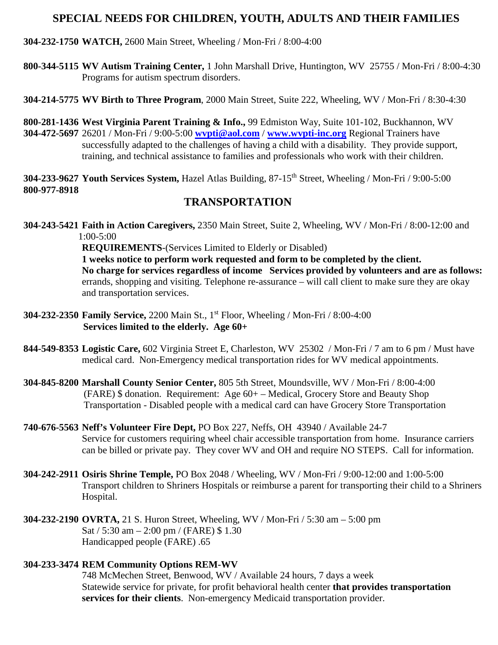### **SPECIAL NEEDS FOR CHILDREN, YOUTH, ADULTS AND THEIR FAMILIES**

#### **304-232-1750 WATCH,** 2600 Main Street, Wheeling / Mon-Fri / 8:00-4:00

**800-344-5115 WV Autism Training Center,** 1 John Marshall Drive, Huntington, WV 25755 / Mon-Fri / 8:00-4:30 Programs for autism spectrum disorders.

**304-214-5775 WV Birth to Three Program**, 2000 Main Street, Suite 222, Wheeling, WV / Mon-Fri / 8:30-4:30

**800-281-1436 West Virginia Parent Training & Info.,** 99 Edmiston Way, Suite 101-102, Buckhannon, WV **304-472-5697** 26201 / Mon-Fri / 9:00-5:00 **[wvpti@aol.com](mailto:wvpti@aol.com)** / **[www.wvpti-inc.org](http://www.wvpti-inc.org/)** Regional Trainers have successfully adapted to the challenges of having a child with a disability. They provide support, training, and technical assistance to families and professionals who work with their children.

**304-233-9627 Youth Services System,** Hazel Atlas Building, 87-15th Street, Wheeling / Mon-Fri / 9:00-5:00 **800-977-8918**

### **TRANSPORTATION**

**304-243-5421 Faith in Action Caregivers,** 2350 Main Street, Suite 2, Wheeling, WV / Mon-Fri / 8:00-12:00 and 1:00-5:00

**REQUIREMENTS**-(Services Limited to Elderly or Disabled)

**1 weeks notice to perform work requested and form to be completed by the client. No charge for services regardless of income Services provided by volunteers and are as follows:**  errands, shopping and visiting. Telephone re-assurance – will call client to make sure they are okay and transportation services.

- **304-232-2350 Family Service,** 2200 Main St., 1st Floor, Wheeling / Mon-Fri / 8:00-4:00  **Services limited to the elderly. Age 60+**
- **844-549-8353 Logistic Care,** 602 Virginia Street E, Charleston, WV 25302 / Mon-Fri / 7 am to 6 pm / Must have medical card. Non-Emergency medical transportation rides for WV medical appointments.
- **304-845-8200 Marshall County Senior Center,** 805 5th Street, Moundsville, WV / Mon-Fri / 8:00-4:00 (FARE) \$ donation. Requirement: Age 60+ – Medical, Grocery Store and Beauty Shop Transportation - Disabled people with a medical card can have Grocery Store Transportation
- **740-676-5563 Neff's Volunteer Fire Dept,** PO Box 227, Neffs, OH 43940 / Available 24-7 Service for customers requiring wheel chair accessible transportation from home. Insurance carriers can be billed or private pay. They cover WV and OH and require NO STEPS. Call for information.
- **304-242-2911 Osiris Shrine Temple,** PO Box 2048 / Wheeling, WV / Mon-Fri / 9:00-12:00 and 1:00-5:00 Transport children to Shriners Hospitals or reimburse a parent for transporting their child to a Shriners Hospital.
- **304-232-2190 OVRTA,** 21 S. Huron Street, Wheeling, WV / Mon-Fri / 5:30 am 5:00 pm Sat / 5:30 am – 2:00 pm / (FARE) \$ 1.30 Handicapped people (FARE) .65

#### **304-233-3474 REM Community Options REM-WV**

748 McMechen Street, Benwood, WV / Available 24 hours, 7 days a week Statewide service for private, for profit behavioral health center **that provides transportation services for their clients**. Non-emergency Medicaid transportation provider.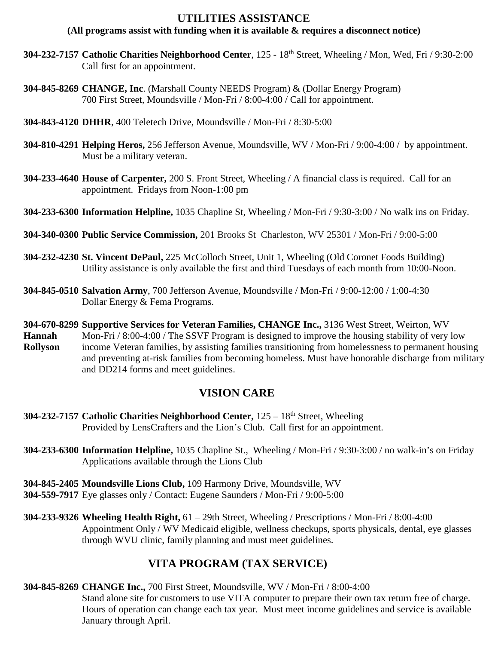### **UTILITIES ASSISTANCE**

#### **(All programs assist with funding when it is available & requires a disconnect notice)**

- **304-232-7157 Catholic Charities Neighborhood Center**, 125 18th Street, Wheeling / Mon, Wed, Fri / 9:30-2:00 Call first for an appointment.
- **304-845-8269 CHANGE, Inc**. (Marshall County NEEDS Program) & (Dollar Energy Program) 700 First Street, Moundsville / Mon-Fri / 8:00-4:00 / Call for appointment.
- **304-843-4120 DHHR**, 400 Teletech Drive, Moundsville / Mon-Fri / 8:30-5:00
- **304-810-4291 Helping Heros,** 256 Jefferson Avenue, Moundsville, WV / Mon-Fri / 9:00-4:00 / by appointment. Must be a military veteran.
- **304-233-4640 House of Carpenter,** 200 S. Front Street, Wheeling / A financial class is required. Call for an appointment. Fridays from Noon-1:00 pm
- **304-233-6300 Information Helpline,** 1035 Chapline St, Wheeling / Mon-Fri / 9:30-3:00 / No walk ins on Friday.
- **304-340-0300 Public Service Commission,** 201 Brooks St Charleston, WV 25301 / Mon-Fri / 9:00-5:00
- **304-232-4230 St. Vincent DePaul,** 225 McColloch Street, Unit 1, Wheeling (Old Coronet Foods Building) Utility assistance is only available the first and third Tuesdays of each month from 10:00-Noon.
- **304-845-0510 Salvation Army**, 700 Jefferson Avenue, Moundsville / Mon-Fri / 9:00-12:00 / 1:00-4:30 Dollar Energy & Fema Programs.
- **304-670-8299 Supportive Services for Veteran Families, CHANGE Inc.,** 3136 West Street, Weirton, WV **Hannah** Mon-Fri / 8:00-4:00 / The SSVF Program is designed to improve the housing stability of very low **Rollyson** income Veteran families, by assisting families transitioning from homelessness to permanent housing and preventing at-risk families from becoming homeless. Must have honorable discharge from military and DD214 forms and meet guidelines.

## **VISION CARE**

- **304-232-7157 Catholic Charities Neighborhood Center,** 125 18th Street, Wheeling Provided by LensCrafters and the Lion's Club. Call first for an appointment.
- **304-233-6300 Information Helpline,** 1035 Chapline St., Wheeling / Mon-Fri / 9:30-3:00 / no walk-in's on Friday Applications available through the Lions Club
- **304-845-2405 Moundsville Lions Club,** 109 Harmony Drive, Moundsville, WV
- **304-559-7917** Eye glasses only / Contact: Eugene Saunders / Mon-Fri / 9:00-5:00
- **304-233-9326 Wheeling Health Right,** 61 29th Street, Wheeling / Prescriptions / Mon-Fri / 8:00-4:00 Appointment Only / WV Medicaid eligible, wellness checkups, sports physicals, dental, eye glasses through WVU clinic, family planning and must meet guidelines.

# **VITA PROGRAM (TAX SERVICE)**

- **304-845-8269 CHANGE Inc.,** 700 First Street, Moundsville, WV / Mon-Fri / 8:00-4:00
	- Stand alone site for customers to use VITA computer to prepare their own tax return free of charge. Hours of operation can change each tax year. Must meet income guidelines and service is available January through April.